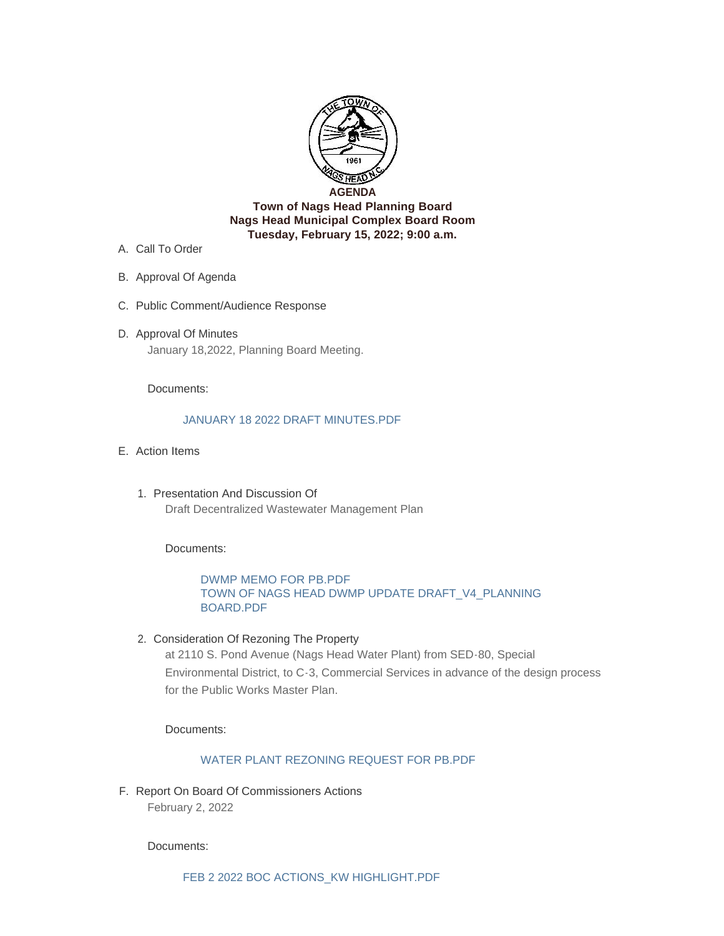

- A. Call To Order
- B. Approval Of Agenda
- C. Public Comment/Audience Response
- D. Approval Of Minutes January 18,2022, Planning Board Meeting.

Documents:

#### [JANUARY 18 2022 DRAFT MINUTES.PDF](http://nagsheadnc.gov/AgendaCenter/ViewFile/Item/3915?fileID=6059)

- Action Items E.
	- 1. Presentation And Discussion Of Draft Decentralized Wastewater Management Plan

Documents:

# [DWMP MEMO FOR PB.PDF](http://nagsheadnc.gov/AgendaCenter/ViewFile/Item/3913?fileID=6072) TOWN OF NAGS HEAD DWMP UPDATE DRAFT\_V4\_PLANNING BOARD.PDF

2. Consideration Of Rezoning The Property

at 2110 S. Pond Avenue (Nags Head Water Plant) from SED-80, Special Environmental District, to C-3, Commercial Services in advance of the design process for the Public Works Master Plan.

Documents:

## [WATER PLANT REZONING REQUEST FOR PB.PDF](http://nagsheadnc.gov/AgendaCenter/ViewFile/Item/3914?fileID=6073)

F. Report On Board Of Commissioners Actions February 2, 2022

Documents: